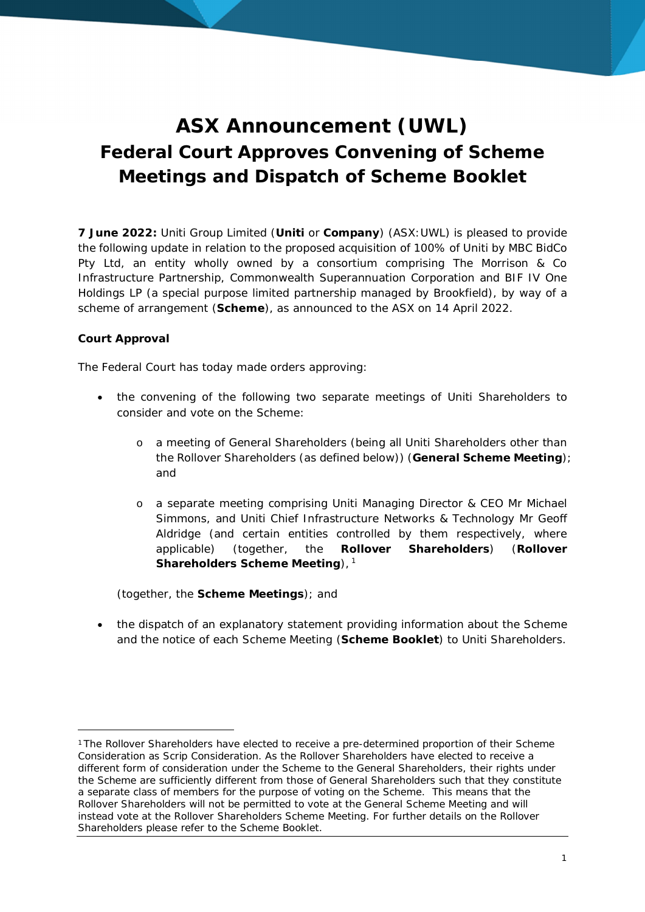## **ASX Announcement (UWL) Federal Court Approves Convening of Scheme Meetings and Dispatch of Scheme Booklet**

**7 June 2022:** Uniti Group Limited (**Uniti** or **Company**) (ASX:UWL) is pleased to provide the following update in relation to the proposed acquisition of 100% of Uniti by MBC BidCo Pty Ltd, an entity wholly owned by a consortium comprising The Morrison & Co Infrastructure Partnership, Commonwealth Superannuation Corporation and BIF IV One Holdings LP (a special purpose limited partnership managed by Brookfield), by way of a scheme of arrangement (**Scheme**), as announced to the ASX on 14 April 2022.

## **Court Approval**

The Federal Court has today made orders approving:

- the convening of the following two separate meetings of Uniti Shareholders to consider and vote on the Scheme:
	- o a meeting of General Shareholders (being all Uniti Shareholders other than the Rollover Shareholders (as defined below)) (**General Scheme Meeting**); and
	- o a separate meeting comprising Uniti Managing Director & CEO Mr Michael Simmons, and Uniti Chief Infrastructure Networks & Technology Mr Geoff Aldridge (and certain entities controlled by them respectively, where applicable) (together, the **Rollover Shareholders**) (**Rollover Shareholders Scheme Meeting**),<sup>1</sup>

(together, the **Scheme Meetings**); and

 the dispatch of an explanatory statement providing information about the Scheme and the notice of each Scheme Meeting (**Scheme Booklet**) to Uniti Shareholders.

<sup>1</sup> The Rollover Shareholders have elected to receive a pre-determined proportion of their Scheme Consideration as Scrip Consideration. As the Rollover Shareholders have elected to receive a different form of consideration under the Scheme to the General Shareholders, their rights under the Scheme are sufficiently different from those of General Shareholders such that they constitute a separate class of members for the purpose of voting on the Scheme. This means that the Rollover Shareholders will not be permitted to vote at the General Scheme Meeting and will instead vote at the Rollover Shareholders Scheme Meeting. For further details on the Rollover Shareholders please refer to the Scheme Booklet.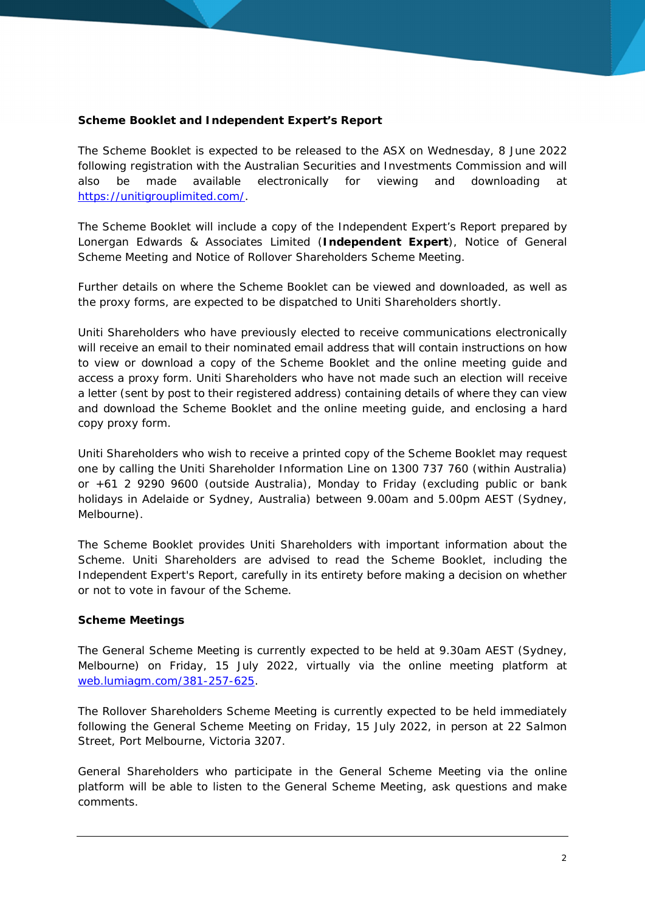**Scheme Booklet and Independent Expert's Report**

The Scheme Booklet is expected to be released to the ASX on Wednesday, 8 June 2022 following registration with the Australian Securities and Investments Commission and will also be made available electronically for viewing and downloading at https://unitigrouplimited.com/.

The Scheme Booklet will include a copy of the Independent Expert's Report prepared by Lonergan Edwards & Associates Limited (**Independent Expert**), Notice of General Scheme Meeting and Notice of Rollover Shareholders Scheme Meeting.

Further details on where the Scheme Booklet can be viewed and downloaded, as well as the proxy forms, are expected to be dispatched to Uniti Shareholders shortly.

Uniti Shareholders who have previously elected to receive communications electronically will receive an email to their nominated email address that will contain instructions on how to view or download a copy of the Scheme Booklet and the online meeting guide and access a proxy form. Uniti Shareholders who have not made such an election will receive a letter (sent by post to their registered address) containing details of where they can view and download the Scheme Booklet and the online meeting guide, and enclosing a hard copy proxy form.

Uniti Shareholders who wish to receive a printed copy of the Scheme Booklet may request one by calling the Uniti Shareholder Information Line on 1300 737 760 (within Australia) or +61 2 9290 9600 (outside Australia), Monday to Friday (excluding public or bank holidays in Adelaide or Sydney, Australia) between 9.00am and 5.00pm AEST (Sydney, Melbourne).

The Scheme Booklet provides Uniti Shareholders with important information about the Scheme. Uniti Shareholders are advised to read the Scheme Booklet, including the Independent Expert's Report, carefully in its entirety before making a decision on whether or not to vote in favour of the Scheme.

## **Scheme Meetings**

The General Scheme Meeting is currently expected to be held at 9.30am AEST (Sydney, Melbourne) on Friday, 15 July 2022, virtually via the online meeting platform at web.lumiagm.com/381-257-625.

The Rollover Shareholders Scheme Meeting is currently expected to be held immediately following the General Scheme Meeting on Friday, 15 July 2022, in person at 22 Salmon Street, Port Melbourne, Victoria 3207.

General Shareholders who participate in the General Scheme Meeting via the online platform will be able to listen to the General Scheme Meeting, ask questions and make comments.